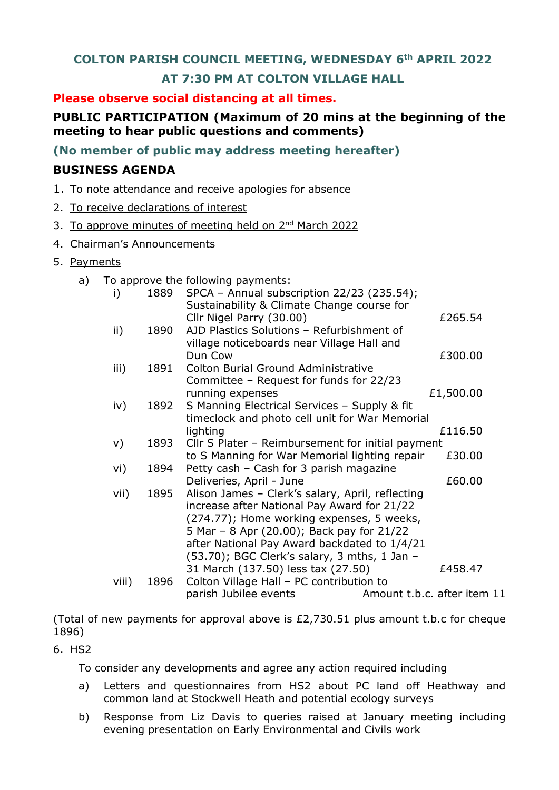## **COLTON PARISH COUNCIL MEETING, WEDNESDAY 6th APRIL 2022**

# **AT 7:30 PM AT COLTON VILLAGE HALL**

### **Please observe social distancing at all times.**

# **PUBLIC PARTICIPATION (Maximum of 20 mins at the beginning of the meeting to hear public questions and comments)**

**(No member of public may address meeting hereafter)**

## **BUSINESS AGENDA**

- 1. To note attendance and receive apologies for absence
- 2. To receive declarations of interest
- 3. To approve minutes of meeting held on 2<sup>nd</sup> March 2022
- 4. Chairman's Announcements
- 5. Payments
	- a) To approve the following payments:

| i)    | 1889 | SPCA - Annual subscription 22/23 (235.54);                                                |                             |
|-------|------|-------------------------------------------------------------------------------------------|-----------------------------|
|       |      | Sustainability & Climate Change course for<br>Cllr Nigel Parry (30.00)                    | £265.54                     |
| ii)   | 1890 | AJD Plastics Solutions - Refurbishment of                                                 |                             |
|       |      | village noticeboards near Village Hall and                                                |                             |
|       |      | Dun Cow                                                                                   | £300.00                     |
| iii)  | 1891 | <b>Colton Burial Ground Administrative</b>                                                |                             |
|       |      | Committee - Request for funds for 22/23                                                   |                             |
| iv)   | 1892 | running expenses<br>S Manning Electrical Services - Supply & fit                          | £1,500.00                   |
|       |      | timeclock and photo cell unit for War Memorial                                            |                             |
|       |      | lighting                                                                                  | £116.50                     |
| V)    | 1893 | Cllr S Plater - Reimbursement for initial payment                                         |                             |
|       |      | to S Manning for War Memorial lighting repair                                             | £30.00                      |
| vi)   | 1894 | Petty cash - Cash for 3 parish magazine                                                   |                             |
|       |      | Deliveries, April - June                                                                  | £60.00                      |
| vii)  | 1895 | Alison James - Clerk's salary, April, reflecting                                          |                             |
|       |      | increase after National Pay Award for 21/22                                               |                             |
|       |      | (274.77); Home working expenses, 5 weeks,                                                 |                             |
|       |      | 5 Mar - 8 Apr (20.00); Back pay for 21/22<br>after National Pay Award backdated to 1/4/21 |                             |
|       |      | (53.70); BGC Clerk's salary, 3 mths, 1 Jan -                                              |                             |
|       |      | 31 March (137.50) less tax (27.50)                                                        | £458.47                     |
| viii) | 1896 | Colton Village Hall - PC contribution to                                                  |                             |
|       |      | parish Jubilee events                                                                     | Amount t.b.c. after item 11 |

(Total of new payments for approval above is £2,730.51 plus amount t.b.c for cheque 1896)

### 6. HS2

To consider any developments and agree any action required including

- a) Letters and questionnaires from HS2 about PC land off Heathway and common land at Stockwell Heath and potential ecology surveys
- b) Response from Liz Davis to queries raised at January meeting including evening presentation on Early Environmental and Civils work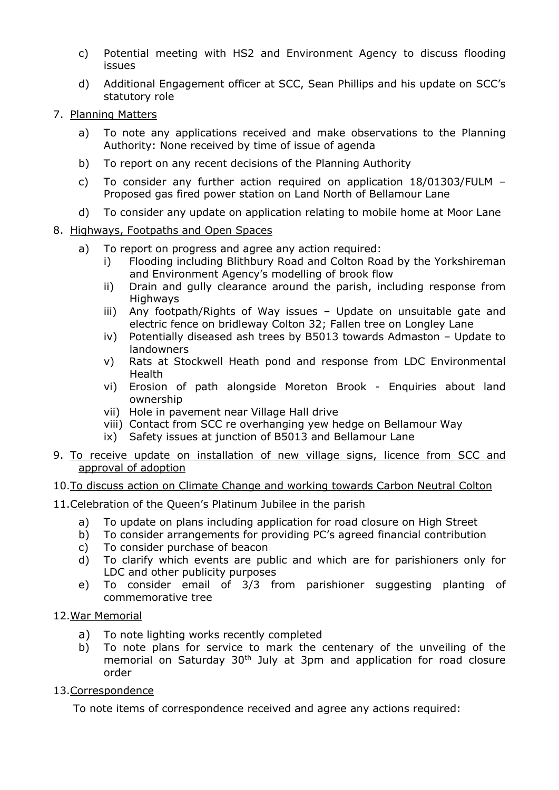- c) Potential meeting with HS2 and Environment Agency to discuss flooding issues
- d) Additional Engagement officer at SCC, Sean Phillips and his update on SCC's statutory role
- 7. Planning Matters
	- a) To note any applications received and make observations to the Planning Authority: None received by time of issue of agenda
	- b) To report on any recent decisions of the Planning Authority
	- c) To consider any further action required on application 18/01303/FULM Proposed gas fired power station on Land North of Bellamour Lane
	- d) To consider any update on application relating to mobile home at Moor Lane
- 8. Highways, Footpaths and Open Spaces
	- a) To report on progress and agree any action required:
		- i) Flooding including Blithbury Road and Colton Road by the Yorkshireman and Environment Agency's modelling of brook flow
		- ii) Drain and gully clearance around the parish, including response from Highways
		- iii) Any footpath/Rights of Way issues Update on unsuitable gate and electric fence on bridleway Colton 32; Fallen tree on Longley Lane
		- iv) Potentially diseased ash trees by B5013 towards Admaston Update to landowners
		- v) Rats at Stockwell Heath pond and response from LDC Environmental Health
		- vi) Erosion of path alongside Moreton Brook Enquiries about land ownership
		- vii) Hole in pavement near Village Hall drive
		- viii) Contact from SCC re overhanging yew hedge on Bellamour Way
		- ix) Safety issues at junction of B5013 and Bellamour Lane
- 9. To receive update on installation of new village signs, licence from SCC and approval of adoption

### 10.To discuss action on Climate Change and working towards Carbon Neutral Colton

### 11.Celebration of the Queen's Platinum Jubilee in the parish

- a) To update on plans including application for road closure on High Street
- b) To consider arrangements for providing PC's agreed financial contribution
- c) To consider purchase of beacon
- d) To clarify which events are public and which are for parishioners only for LDC and other publicity purposes
- e) To consider email of 3/3 from parishioner suggesting planting of commemorative tree

### 12.War Memorial

- a) To note lighting works recently completed
- b) To note plans for service to mark the centenary of the unveiling of the memorial on Saturday 30<sup>th</sup> July at 3pm and application for road closure order

### 13.Correspondence

To note items of correspondence received and agree any actions required: